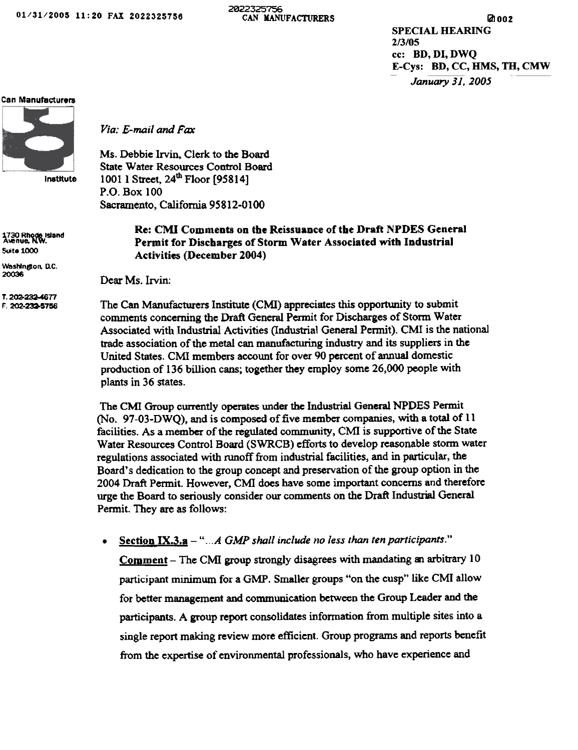SPECIAL HEARING 2/3/05 cc: BD, DI, DWO E-Cys: BD, CC, HMS, TH, CMW January 31, 2005

## **Can Manufacturers**



Institute

1730 Rhode Island<br>Avenue, NW. **Suite 1000** 

Washington, D.C.<br>20036

T. 202-232-4677 r:. 202.233-5756 Via: E-mail and Fax

Ms. Debbie Irvin. Clerk to the Board State Water Resources Control Board 1001 I Street, 24<sup>th</sup> Floor [95814] P.O. Box 100 Sacramento, California 95812-0100

## Re: CMI Comments on the Reissuance of the Draft NPDES General Permit for Discharges of Storm Water Associated with Industrial Activities (December 2004)

Dear Ms. Irvin:

The Can Manufacturers Institute (CMI) appreciates this opportunity to submit comments concerning the Draft General Permit for Discharges of Storm Water Associated with Industrial Activities (Industrial General Permit). CMI is the national trade association of the metal can manufacturing industry and its suppliers in the United States. CMI members account for over 90 percent of annual domestic production of 136 billion cans; together they employ some 26,000 people with plants in 36 states.

The CMI Group currently operates under the Industrial General NPDES Permit (No. 97-03-DWQ), and is composed of five member companies, with a total of 11 facilities. As a member of the regulated community, CMI is supportive of the State Water Resources Control Board (SWRCB) efforts to develop reasonable storm water regulations associated with runoff from industrial facilities, and in particular, the Board's dedication to the group concept and preservation of the group option in the 2004 Draft Permit. However, CMI does have some important concerns and therefore urge the Board to seriously consider our comments on the Draft Industrial General Permit. They are as follows:

. **Section IX.3.a**  $-$  "... A GMP shall include no less than ten participants."

Comment - The CMI group strongly disagrees with mandating an arbitrary 10 participant minimum for a GMP. Smaller groups "on the cusp" like CMI allow for better management and communication between the Group Leader and the participants. A group report consolidates information from multiple sites into a single report making review more efficient. Group programs and reports benefit from the expertise of environmental professionals, who have experience and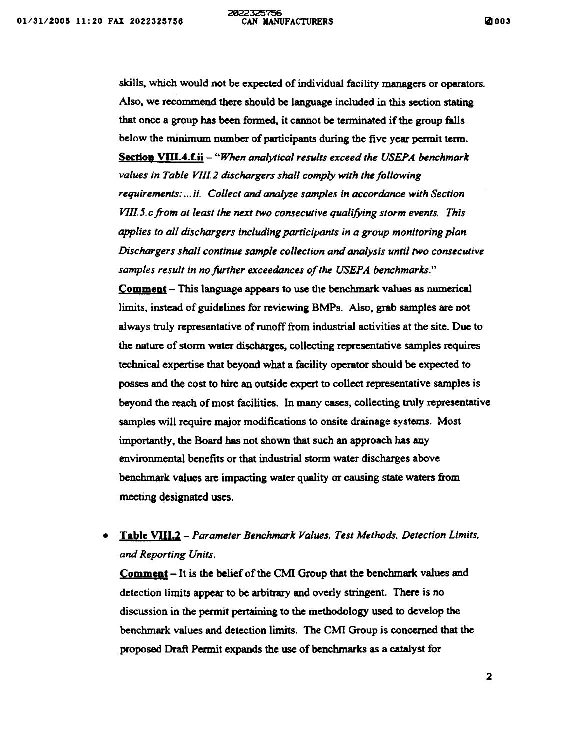skills, which would not be expected of individual facility managers or operators. Also, we recommend there should be language included in this section stating that once a group has been fonned, it cannot be tenninated if the group falls below the minimwn nwnber of participants during the five year permit term. **Section VIII.4.f.ii** – "When analytical results exceed the USEPA benchmark values in Table VIII.2 dischargers shall comply with the following requirements:...ii. Collect and analyze samples in accordance with Section VIII.5. c from at least the next two consecutive qualifying storm events. This applies to all dischargers including participants in a group monitoring plan. Dischargers shall continue sample collection and analysis until two consecutive samples result in no further exceedances of the USEPA benchmarks."

Comment - This language appears to use the benchmark values as numerical limits, instead of guidelines for reviewing BMPs. Also, grab samples are not always truly representative of runoff from industrial activities at the site. Due to the nature of storm water discharges, collecting representative samples requires technical expertise that beyond what a facility operator should be expected to posses and the cost to hire an outside expert to collect representative samples is beyond the reach of most facilities. In many cases, collecting truly representative samples will require major modifications to onsite drainage systems. Most importantly, the Board bas not shown that such an approach has any enviromnental benefits or that industrial storm water discharges above benchmark values are impacting water quality or causing state waters from meeting designated uses.

## . Table VIII.2 - Parameter Benchmark Values, Test Methods. Detection Limits, and Reporting Units.

Comment - It is the belief of the CMI Group that the benchmark values and detection limits appear to be arbitrary and overly stringent. There is no discussion in the permit pertaining to the methodology used to develop the benchmark values and detection limits. The CMI Group is concerned that the proposed Draft Permit expands the use of benchmarks as a catalyst for

2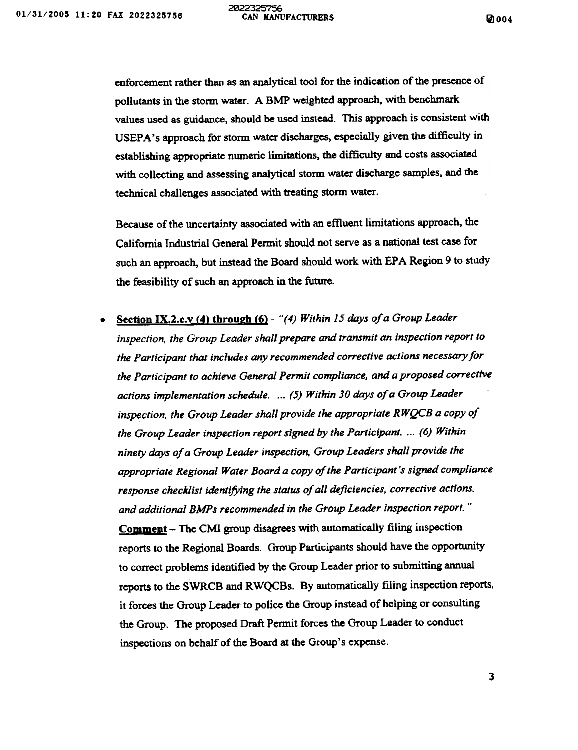enforcement rather than as an analytical tool for the indication of the presence of' pollutants in the storm water. A BMP weighted approach, with benchmark values used as guidance, should be used instead. This approach is consistent with USEPA's approach for storm water discharges, especially given the difficulty in establishing appropriate numeric limitations, the difficulty and costs associated with collecting and assessing analytical storm water discharge samples. and the technical challenges associated with treating storm water.

Because of the uncertainty associated with an eftluent limitations approach, the California Industrial General Permit should not serve as a national test case for such an approach, but instead the Board should work with EPA Region 9 to study the feasibility of such an approach in the future.

Section IX.2.c.v (4) through (6) - "(4) Within 15 days of a Group Leader inspection, the Group Leader shall prepare and transmit an inspection report to the Participant that includes any recommended corrective actions necessary for the Participant to achieve General Permit compliance, and a proposed corrective actions implementation schedule. ... (5) Within 30 days of a Group Leader inspection, the Group Leader shall provide the appropriate RWQCB a copy of the Group Leader inspection report signed by the Participant. ... (6) Within ninety days of a Group Leader inspection, Group Leaders shall provide the appropriate Regional Water Board a copy of the Participant's signed compliance response checklist identifying the status of all deficiencies, corrective actions. and additional BMPs recommended in the Group Leader inspection report." Comment - The CMI group disagrees with automatically filing inspection reports to the Regional Boards. Group Participants should have the opportunity to correct problems identified by the Group Leader prior to submitting annual reports to the SWRCB and RWQCBs. By automatically filing inspection reports. it forces the Group Leader to police the Group instead of helping or consulting the Group. The proposed Draft Permit forces the Group Leader to conduct inspections on behalf of the Board at the Group's expense.

3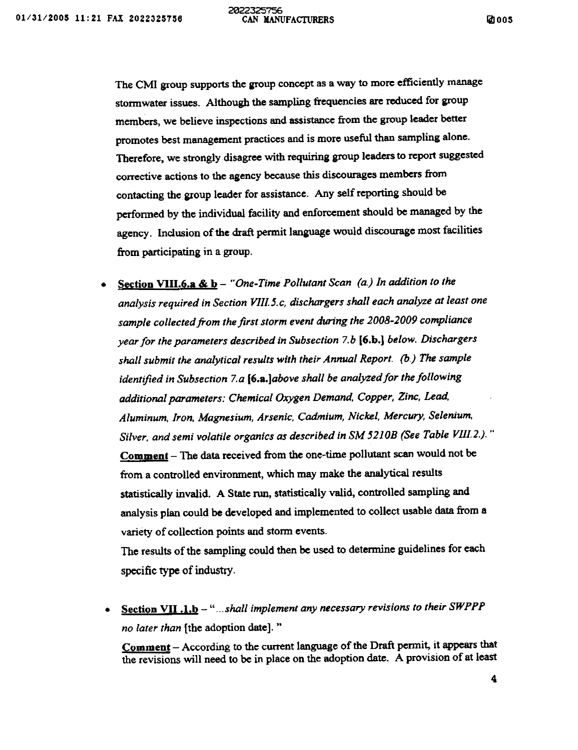2022325756<br>CAN MANUFACTURERS

**2005** 

The CMI group supports the group concept as a way to more efficiently manage stormwater issues. Although the sampling frequencies are reduced for group members, we believe inspections and assistance from the group leader better promotes best management practices and is more useful than sampling alone. Therefore, we strongly disagree with requiring group leaders to report suggested corrective actions to the agency because this discourages members from contacting the group leader for assistance. Any self reporting should be perfonned by the individual facility and enforcement should be managed by the agency. Inclusion of the draft permit language would discourage most facilities from participating in a group.

. Section VIII.6.a &  $b$  – "One-Time Pollutant Scan (a.) In addition to the analysis required in Section VIII.5.c, dischargers shall each analyze at least one sample collected from the first storm event during the 2008-2009 compliance year for the parameters described in Subsection 7.b (6.b.] below. Dischargers shall submit the analytical results with their Annual Report. (b.) The sample identified in Subsection 7.a [6.a.]above shall be analyzed for the following additional parameters: Chemical Oxygen Demand, Copper, Zinc, Lead. Aluminum, Iron, Magnesium, Arsenic. Cadmium, Nickel. Mercury, Selenium, Silver, and semi volatile organics as described in SM 5210B (See Table VIII.2.)." Comment - The data received from the one-time pollutant scan would not be from a controlled environment, which may make the analytical results statistically invalid. A State run, statistically valid, controlled sampling and analysis plan could be developed and implemented to collect usable data from a variety of collection points and storm events.

The results of the sampling could then be used to determine guidelines for each specific type of industry.

Section VII .1.b  $-$  "...shall implement any necessary revisions to their SWPPP no later than [the adoption date]." .

Comment - According to the current language of the Draft permit, it appears that the revisions will need to be in place on the adoption date. A provision of at least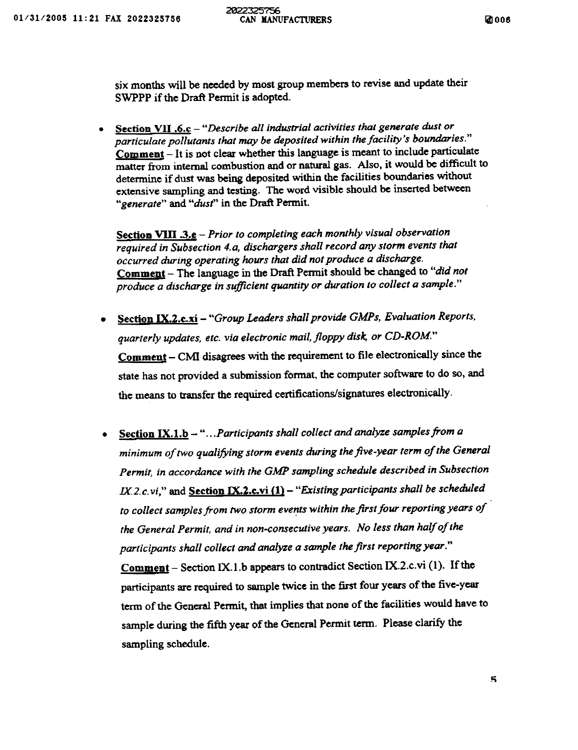sjx months will be needed by most group members to revise and update their SWPPP if the Draft Permit is adopted.

• Section VII .6. $c -$  "Describe all industrial activities that generate dust or particulate pollutants that may be deposited within the facility's boundaries." Comment - It is not clear whether this language is meant to include particulate matter from internal combustion and or natural gas. Also, it would be difficult to determine if dust was being deposited within the facilities boundaries without extensive sampling and testing. The word visible should be inserted between "generate" and "dust" in the Draft Permit.

**Section VIII .3.e** - Prior to completing each monthly visual observation<br>required in Subsection 4.a, dischargers shall record any storm events that occurred during operating hours that did not produce a discharge. Comment - The language in the Draft Permit should be changed to "did not produce a discharge in sufficient quantity or duration to collect a sample."

- Section IX.2.c.xi "Group Leaders shall provide GMPs, Evaluation Reports, quarterly updates, etc. via electronic mail, floppy disk, or CD-ROM," Comment – CMI disagrees with the requirement to file electronically since the state has not provided a submission format. the computer software to do so, and the means to transfer the required certifications/signatures electronically.
- Section  $IX.1.b "...Participants shall collect and analyze samples from a$ minimum of two qualifying storm events during the five-year term of the General Permit, in accordance with the GMP sampling schedule described in Subsection IX.2.c.vi," and Section IX.2.c.vi (1) - "Existing participants shall be scheduled to collect samples from two storm events within the first four reporting years of the General Permit, and in non-consecutive years. No less than half of the participants shall collect and analyze a sample the first reporting year." Comment - Section IX.1.b appears to contradict Section IX.2.c.vi (1). If the participants are required to sample twice in the first four years of the five-year term of the General Permit, that implies that none of the facilities would have to sample during the fifth year of the General Permit term. Please clarify the sampling schedule.